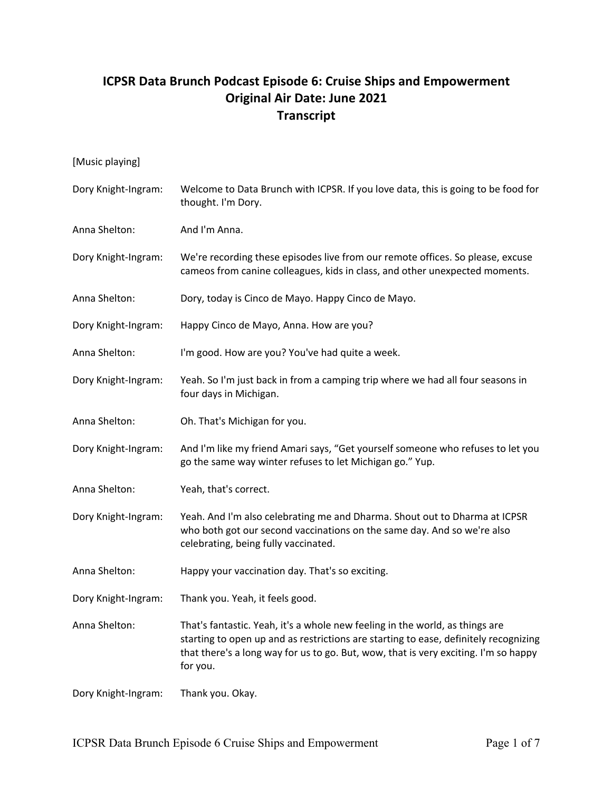## **ICPSR Data Brunch Podcast Episode 6: Cruise Ships and Empowerment Original Air Date: June 2021 Transcript**

| [Music playing]     |                                                                                                                                                                                                                                                                         |
|---------------------|-------------------------------------------------------------------------------------------------------------------------------------------------------------------------------------------------------------------------------------------------------------------------|
| Dory Knight-Ingram: | Welcome to Data Brunch with ICPSR. If you love data, this is going to be food for<br>thought. I'm Dory.                                                                                                                                                                 |
| Anna Shelton:       | And I'm Anna.                                                                                                                                                                                                                                                           |
| Dory Knight-Ingram: | We're recording these episodes live from our remote offices. So please, excuse<br>cameos from canine colleagues, kids in class, and other unexpected moments.                                                                                                           |
| Anna Shelton:       | Dory, today is Cinco de Mayo. Happy Cinco de Mayo.                                                                                                                                                                                                                      |
| Dory Knight-Ingram: | Happy Cinco de Mayo, Anna. How are you?                                                                                                                                                                                                                                 |
| Anna Shelton:       | I'm good. How are you? You've had quite a week.                                                                                                                                                                                                                         |
| Dory Knight-Ingram: | Yeah. So I'm just back in from a camping trip where we had all four seasons in<br>four days in Michigan.                                                                                                                                                                |
| Anna Shelton:       | Oh. That's Michigan for you.                                                                                                                                                                                                                                            |
| Dory Knight-Ingram: | And I'm like my friend Amari says, "Get yourself someone who refuses to let you<br>go the same way winter refuses to let Michigan go." Yup.                                                                                                                             |
| Anna Shelton:       | Yeah, that's correct.                                                                                                                                                                                                                                                   |
| Dory Knight-Ingram: | Yeah. And I'm also celebrating me and Dharma. Shout out to Dharma at ICPSR<br>who both got our second vaccinations on the same day. And so we're also<br>celebrating, being fully vaccinated.                                                                           |
| Anna Shelton:       | Happy your vaccination day. That's so exciting.                                                                                                                                                                                                                         |
| Dory Knight-Ingram: | Thank you. Yeah, it feels good.                                                                                                                                                                                                                                         |
| Anna Shelton:       | That's fantastic. Yeah, it's a whole new feeling in the world, as things are<br>starting to open up and as restrictions are starting to ease, definitely recognizing<br>that there's a long way for us to go. But, wow, that is very exciting. I'm so happy<br>for you. |
| Dory Knight-Ingram: | Thank you. Okay.                                                                                                                                                                                                                                                        |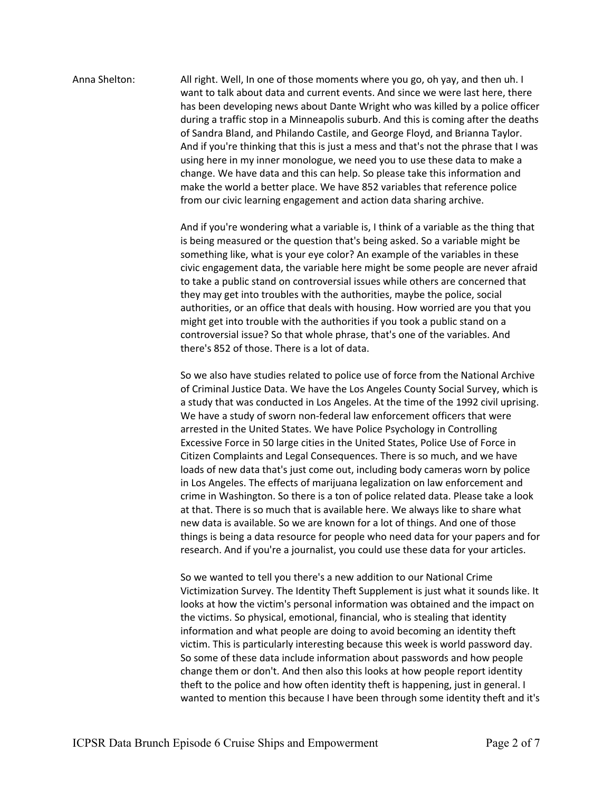## Anna Shelton: All right. Well, In one of those moments where you go, oh yay, and then uh. I want to talk about data and current events. And since we were last here, there has been developing news about Dante Wright who was killed by a police officer during a traffic stop in a Minneapolis suburb. And this is coming after the deaths of Sandra Bland, and Philando Castile, and George Floyd, and Brianna Taylor. And if you're thinking that this is just a mess and that's not the phrase that I was using here in my inner monologue, we need you to use these data to make a change. We have data and this can help. So please take this information and make the world a better place. We have 852 variables that reference police from our civic learning engagement and action data sharing archive.

And if you're wondering what a variable is, I think of a variable as the thing that is being measured or the question that's being asked. So a variable might be something like, what is your eye color? An example of the variables in these civic engagement data, the variable here might be some people are never afraid to take a public stand on controversial issues while others are concerned that they may get into troubles with the authorities, maybe the police, social authorities, or an office that deals with housing. How worried are you that you might get into trouble with the authorities if you took a public stand on a controversial issue? So that whole phrase, that's one of the variables. And there's 852 of those. There is a lot of data.

So we also have studies related to police use of force from the National Archive of Criminal Justice Data. We have the Los Angeles County Social Survey, which is a study that was conducted in Los Angeles. At the time of the 1992 civil uprising. We have a study of sworn non-federal law enforcement officers that were arrested in the United States. We have Police Psychology in Controlling Excessive Force in 50 large cities in the United States, Police Use of Force in Citizen Complaints and Legal Consequences. There is so much, and we have loads of new data that's just come out, including body cameras worn by police in Los Angeles. The effects of marijuana legalization on law enforcement and crime in Washington. So there is a ton of police related data. Please take a look at that. There is so much that is available here. We always like to share what new data is available. So we are known for a lot of things. And one of those things is being a data resource for people who need data for your papers and for research. And if you're a journalist, you could use these data for your articles.

So we wanted to tell you there's a new addition to our National Crime Victimization Survey. The Identity Theft Supplement is just what it sounds like. It looks at how the victim's personal information was obtained and the impact on the victims. So physical, emotional, financial, who is stealing that identity information and what people are doing to avoid becoming an identity theft victim. This is particularly interesting because this week is world password day. So some of these data include information about passwords and how people change them or don't. And then also this looks at how people report identity theft to the police and how often identity theft is happening, just in general. I wanted to mention this because I have been through some identity theft and it's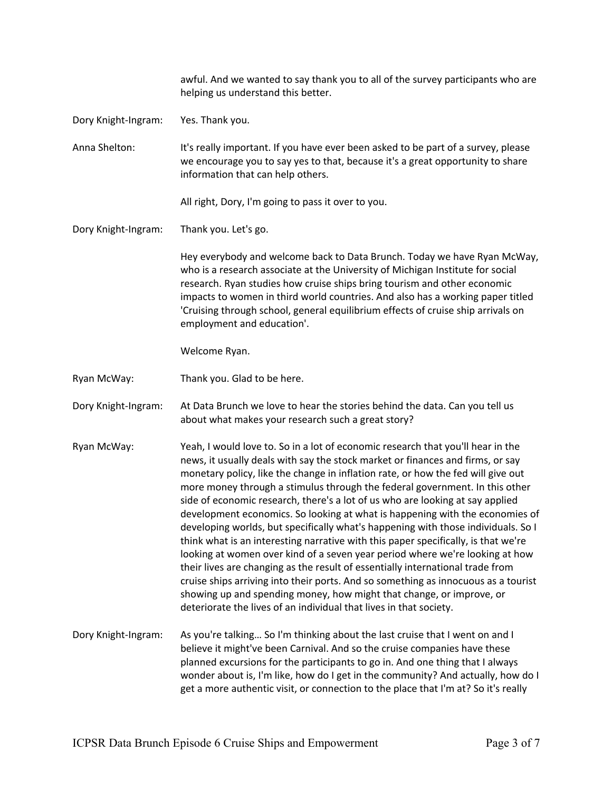|                     | awful. And we wanted to say thank you to all of the survey participants who are<br>helping us understand this better.                                                                                                                                                                                                                                                                                                                                                                                                                                                                                                                                                                                                                                                                                                                                                                                                                                                                                                                                                                  |
|---------------------|----------------------------------------------------------------------------------------------------------------------------------------------------------------------------------------------------------------------------------------------------------------------------------------------------------------------------------------------------------------------------------------------------------------------------------------------------------------------------------------------------------------------------------------------------------------------------------------------------------------------------------------------------------------------------------------------------------------------------------------------------------------------------------------------------------------------------------------------------------------------------------------------------------------------------------------------------------------------------------------------------------------------------------------------------------------------------------------|
| Dory Knight-Ingram: | Yes. Thank you.                                                                                                                                                                                                                                                                                                                                                                                                                                                                                                                                                                                                                                                                                                                                                                                                                                                                                                                                                                                                                                                                        |
| Anna Shelton:       | It's really important. If you have ever been asked to be part of a survey, please<br>we encourage you to say yes to that, because it's a great opportunity to share<br>information that can help others.                                                                                                                                                                                                                                                                                                                                                                                                                                                                                                                                                                                                                                                                                                                                                                                                                                                                               |
|                     | All right, Dory, I'm going to pass it over to you.                                                                                                                                                                                                                                                                                                                                                                                                                                                                                                                                                                                                                                                                                                                                                                                                                                                                                                                                                                                                                                     |
| Dory Knight-Ingram: | Thank you. Let's go.                                                                                                                                                                                                                                                                                                                                                                                                                                                                                                                                                                                                                                                                                                                                                                                                                                                                                                                                                                                                                                                                   |
|                     | Hey everybody and welcome back to Data Brunch. Today we have Ryan McWay,<br>who is a research associate at the University of Michigan Institute for social<br>research. Ryan studies how cruise ships bring tourism and other economic<br>impacts to women in third world countries. And also has a working paper titled<br>'Cruising through school, general equilibrium effects of cruise ship arrivals on<br>employment and education'.                                                                                                                                                                                                                                                                                                                                                                                                                                                                                                                                                                                                                                             |
|                     | Welcome Ryan.                                                                                                                                                                                                                                                                                                                                                                                                                                                                                                                                                                                                                                                                                                                                                                                                                                                                                                                                                                                                                                                                          |
| Ryan McWay:         | Thank you. Glad to be here.                                                                                                                                                                                                                                                                                                                                                                                                                                                                                                                                                                                                                                                                                                                                                                                                                                                                                                                                                                                                                                                            |
| Dory Knight-Ingram: | At Data Brunch we love to hear the stories behind the data. Can you tell us<br>about what makes your research such a great story?                                                                                                                                                                                                                                                                                                                                                                                                                                                                                                                                                                                                                                                                                                                                                                                                                                                                                                                                                      |
| Ryan McWay:         | Yeah, I would love to. So in a lot of economic research that you'll hear in the<br>news, it usually deals with say the stock market or finances and firms, or say<br>monetary policy, like the change in inflation rate, or how the fed will give out<br>more money through a stimulus through the federal government. In this other<br>side of economic research, there's a lot of us who are looking at say applied<br>development economics. So looking at what is happening with the economies of<br>developing worlds, but specifically what's happening with those individuals. So I<br>think what is an interesting narrative with this paper specifically, is that we're<br>looking at women over kind of a seven year period where we're looking at how<br>their lives are changing as the result of essentially international trade from<br>cruise ships arriving into their ports. And so something as innocuous as a tourist<br>showing up and spending money, how might that change, or improve, or<br>deteriorate the lives of an individual that lives in that society. |
| Dory Knight-Ingram: | As you're talking So I'm thinking about the last cruise that I went on and I<br>believe it might've been Carnival. And so the cruise companies have these<br>planned excursions for the participants to go in. And one thing that I always<br>wonder about is, I'm like, how do I get in the community? And actually, how do I<br>get a more authentic visit, or connection to the place that I'm at? So it's really                                                                                                                                                                                                                                                                                                                                                                                                                                                                                                                                                                                                                                                                   |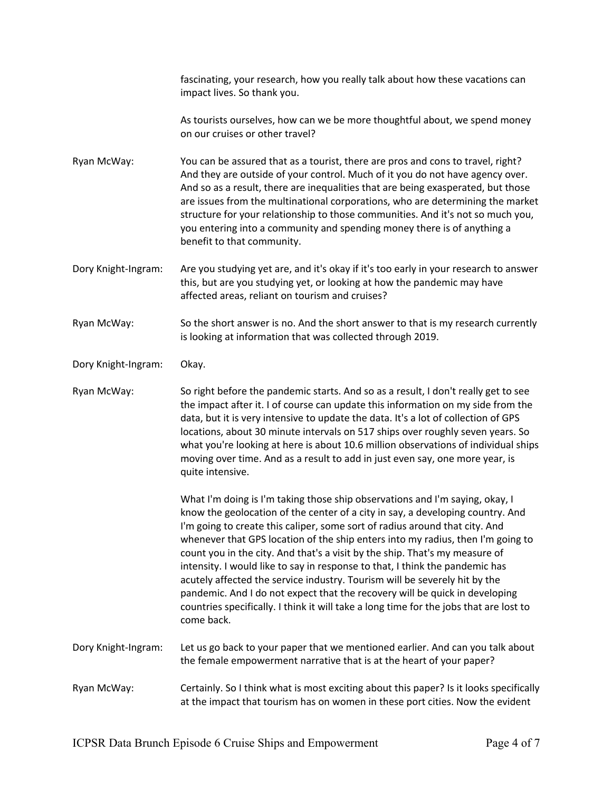fascinating, your research, how you really talk about how these vacations can impact lives. So thank you.

As tourists ourselves, how can we be more thoughtful about, we spend money on our cruises or other travel?

Ryan McWay: You can be assured that as a tourist, there are pros and cons to travel, right? And they are outside of your control. Much of it you do not have agency over. And so as a result, there are inequalities that are being exasperated, but those are issues from the multinational corporations, who are determining the market structure for your relationship to those communities. And it's not so much you, you entering into a community and spending money there is of anything a benefit to that community.

Dory Knight-Ingram: Are you studying yet are, and it's okay if it's too early in your research to answer this, but are you studying yet, or looking at how the pandemic may have affected areas, reliant on tourism and cruises?

Ryan McWay: So the short answer is no. And the short answer to that is my research currently is looking at information that was collected through 2019.

Dory Knight-Ingram: Okay.

Ryan McWay: So right before the pandemic starts. And so as a result, I don't really get to see the impact after it. I of course can update this information on my side from the data, but it is very intensive to update the data. It's a lot of collection of GPS locations, about 30 minute intervals on 517 ships over roughly seven years. So what you're looking at here is about 10.6 million observations of individual ships moving over time. And as a result to add in just even say, one more year, is quite intensive.

> What I'm doing is I'm taking those ship observations and I'm saying, okay, I know the geolocation of the center of a city in say, a developing country. And I'm going to create this caliper, some sort of radius around that city. And whenever that GPS location of the ship enters into my radius, then I'm going to count you in the city. And that's a visit by the ship. That's my measure of intensity. I would like to say in response to that, I think the pandemic has acutely affected the service industry. Tourism will be severely hit by the pandemic. And I do not expect that the recovery will be quick in developing countries specifically. I think it will take a long time for the jobs that are lost to come back.

Dory Knight-Ingram: Let us go back to your paper that we mentioned earlier. And can you talk about the female empowerment narrative that is at the heart of your paper?

Ryan McWay: Certainly. So I think what is most exciting about this paper? Is it looks specifically at the impact that tourism has on women in these port cities. Now the evident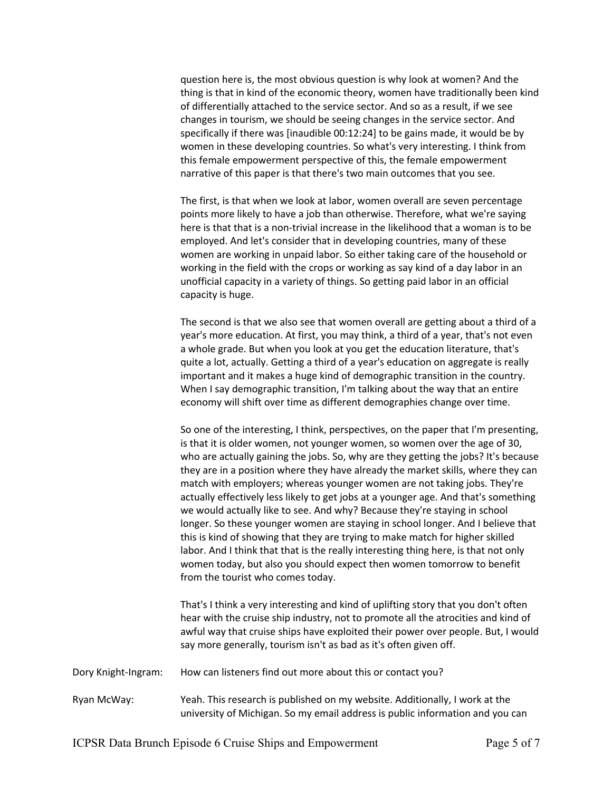question here is, the most obvious question is why look at women? And the thing is that in kind of the economic theory, women have traditionally been kind of differentially attached to the service sector. And so as a result, if we see changes in tourism, we should be seeing changes in the service sector. And specifically if there was [inaudible 00:12:24] to be gains made, it would be by women in these developing countries. So what's very interesting. I think from this female empowerment perspective of this, the female empowerment narrative of this paper is that there's two main outcomes that you see.

The first, is that when we look at labor, women overall are seven percentage points more likely to have a job than otherwise. Therefore, what we're saying here is that that is a non-trivial increase in the likelihood that a woman is to be employed. And let's consider that in developing countries, many of these women are working in unpaid labor. So either taking care of the household or working in the field with the crops or working as say kind of a day labor in an unofficial capacity in a variety of things. So getting paid labor in an official capacity is huge.

The second is that we also see that women overall are getting about a third of a year's more education. At first, you may think, a third of a year, that's not even a whole grade. But when you look at you get the education literature, that's quite a lot, actually. Getting a third of a year's education on aggregate is really important and it makes a huge kind of demographic transition in the country. When I say demographic transition, I'm talking about the way that an entire economy will shift over time as different demographies change over time.

So one of the interesting, I think, perspectives, on the paper that I'm presenting, is that it is older women, not younger women, so women over the age of 30, who are actually gaining the jobs. So, why are they getting the jobs? It's because they are in a position where they have already the market skills, where they can match with employers; whereas younger women are not taking jobs. They're actually effectively less likely to get jobs at a younger age. And that's something we would actually like to see. And why? Because they're staying in school longer. So these younger women are staying in school longer. And I believe that this is kind of showing that they are trying to make match for higher skilled labor. And I think that that is the really interesting thing here, is that not only women today, but also you should expect then women tomorrow to benefit from the tourist who comes today.

That's I think a very interesting and kind of uplifting story that you don't often hear with the cruise ship industry, not to promote all the atrocities and kind of awful way that cruise ships have exploited their power over people. But, I would say more generally, tourism isn't as bad as it's often given off.

Dory Knight-Ingram: How can listeners find out more about this or contact you?

Ryan McWay: Yeah. This research is published on my website. Additionally, I work at the university of Michigan. So my email address is public information and you can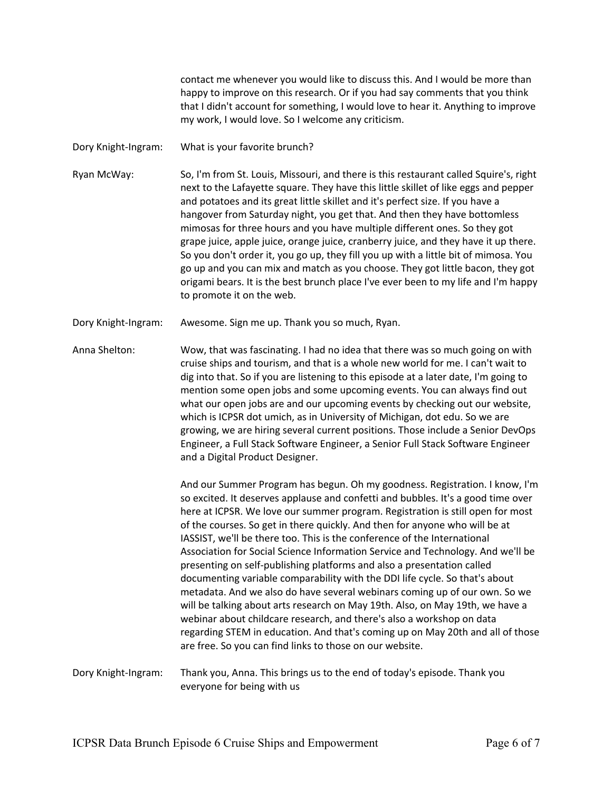contact me whenever you would like to discuss this. And I would be more than happy to improve on this research. Or if you had say comments that you think that I didn't account for something, I would love to hear it. Anything to improve my work, I would love. So I welcome any criticism.

Dory Knight-Ingram: What is your favorite brunch?

Ryan McWay: So, I'm from St. Louis, Missouri, and there is this restaurant called Squire's, right next to the Lafayette square. They have this little skillet of like eggs and pepper and potatoes and its great little skillet and it's perfect size. If you have a hangover from Saturday night, you get that. And then they have bottomless mimosas for three hours and you have multiple different ones. So they got grape juice, apple juice, orange juice, cranberry juice, and they have it up there. So you don't order it, you go up, they fill you up with a little bit of mimosa. You go up and you can mix and match as you choose. They got little bacon, they got origami bears. It is the best brunch place I've ever been to my life and I'm happy to promote it on the web.

Dory Knight-Ingram: Awesome. Sign me up. Thank you so much, Ryan.

Anna Shelton: Wow, that was fascinating. I had no idea that there was so much going on with cruise ships and tourism, and that is a whole new world for me. I can't wait to dig into that. So if you are listening to this episode at a later date, I'm going to mention some open jobs and some upcoming events. You can always find out what our open jobs are and our upcoming events by checking out our website, which is ICPSR dot umich, as in University of Michigan, dot edu. So we are growing, we are hiring several current positions. Those include a Senior DevOps Engineer, a Full Stack Software Engineer, a Senior Full Stack Software Engineer and a Digital Product Designer.

> And our Summer Program has begun. Oh my goodness. Registration. I know, I'm so excited. It deserves applause and confetti and bubbles. It's a good time over here at ICPSR. We love our summer program. Registration is still open for most of the courses. So get in there quickly. And then for anyone who will be at IASSIST, we'll be there too. This is the conference of the International Association for Social Science Information Service and Technology. And we'll be presenting on self-publishing platforms and also a presentation called documenting variable comparability with the DDI life cycle. So that's about metadata. And we also do have several webinars coming up of our own. So we will be talking about arts research on May 19th. Also, on May 19th, we have a webinar about childcare research, and there's also a workshop on data regarding STEM in education. And that's coming up on May 20th and all of those are free. So you can find links to those on our website.

Dory Knight-Ingram: Thank you, Anna. This brings us to the end of today's episode. Thank you everyone for being with us